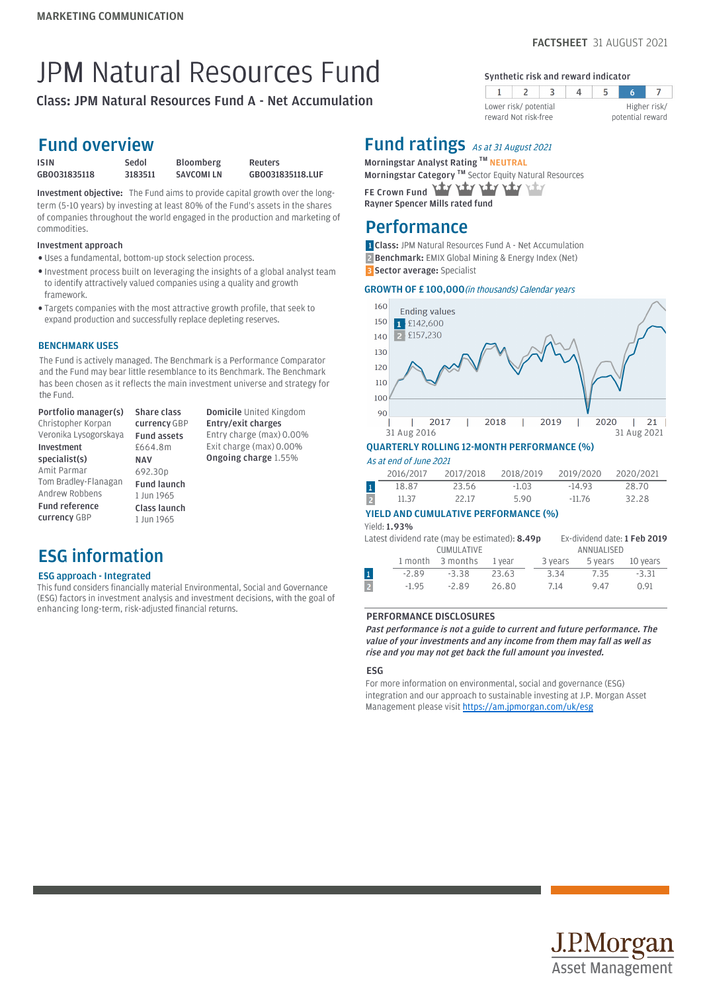5

Higher risk/ potential reward

 $\overline{7}$ 

Synthetic risk and reward indicator

 $\overline{4}$ 

 $\overline{\mathbf{3}}$ 

Lower risk/ potential reward Not risk-free

 $2<sup>1</sup>$ 

 $\mathbf{1}$ 

# JPM Natural Resources Fund

Class: JPM Natural Resources Fund A - Net Accumulation

### Fund overview

| <b>ISIN</b>  | Sedol   | <b>Bloomberg</b> | Reuters          |
|--------------|---------|------------------|------------------|
| GB0031835118 | 3183511 | SAVCOMI LN       | GB0031835118.LUF |

Investment objective: The Fund aims to provide capital growth over the longterm (5-10 years) by investing at least 80% of the Fund's assets in the shares of companies throughout the world engaged in the production and marketing of commodities.

### Investment approach

- Uses a fundamental, bottom-up stock selection process. l
- . Investment process built on leveraging the insights of a global analyst team to identify attractively valued companies using a quality and growth framework.
- Targets companies with the most attractive growth profile, that seek to l expand production and successfully replace depleting reserves.

### BENCHMARK USES

The Fund is actively managed. The Benchmark is a Performance Comparator and the Fund may bear little resemblance to its Benchmark. The Benchmark has been chosen as it reflects the main investment universe and strategy for the Fund.

Portfolio manager(s) Christopher Korpan Veronika Lysogorskaya Investment specialist(s) Amit Parmar Tom Bradley-Flanagan Andrew Robbens Fund reference currency GBP Share class currency GBP Fund assets £664.8m NAV 692.30p Fund launch 1 Jun 1965 Class launch 1 Jun 1965

Domicile United Kingdom Entry/exit charges Entry charge (max) 0.00% Exit charge (max) 0.00% Ongoing charge 1.55%

## ESG information

### ESG approach - Integrated

This fund considers financially material Environmental, Social and Governance (ESG) factors in investment analysis and investment decisions, with the goal of enhancing long-term, risk-adjusted financial returns.

### Fund ratings As at 31 August 2021

Morningstar Analyst Rating  $TM$  NEUTRAL Morningstar Category ™ Sector Equity Natural Resources FE Crown Fund Yary Yary

Rayner Spencer Mills rated fund

### Performance

1 Class: JPM Natural Resources Fund A - Net Accumulation 2 **Benchmark:** EMIX Global Mining & Energy Index (Net) 3 Sector average: Specialist

### GROWTH OF £100,000 (in thousands) Calendar years



|              | 2016/2017 | 2017/2018 | 2018/2019 | 2019/2020 | 2020/2021 |
|--------------|-----------|-----------|-----------|-----------|-----------|
| $\mathbf{1}$ | 18.87     | 23.56     | $-1.03$   | $-14.93$  | 28.70     |
|              | 11.37     | 22.17     | 5.90      | $-11.76$  | 32.28     |

### YIELD AND CUMULATIVE PERFORMANCE (%)

Yield: 1.93%

|                |         | Latest dividend rate (may be estimated): <b>8.49p</b> |        |         |            | Ex-dividend date: 1 Feb 2019 |
|----------------|---------|-------------------------------------------------------|--------|---------|------------|------------------------------|
|                |         | <b>CUMULATIVE</b>                                     |        |         | ANNUALISED |                              |
|                | 1 month | 3 months                                              | 1 vear | 3 years | 5 years    | 10 years                     |
| $\mathbf 1$    | $-2.89$ | $-3.38$                                               | 23.63  | 3.34    | 7.35       | $-3.31$                      |
| $\overline{2}$ | $-1.95$ | $-289$                                                | 26.80  | 7.14    | 947        | 0.91                         |

### PERFORMANCE DISCLOSURES

Past performance is not a guide to current and future performance. The value of your investments and any income from them may fall as well as rise and you may not get back the full amount you invested.

### ESG

For more information on environmental, social and governance (ESG) integration and our approach to sustainable investing at J.P. Morgan Asset Management please visit https://am.jpmorgan.com/uk/esg

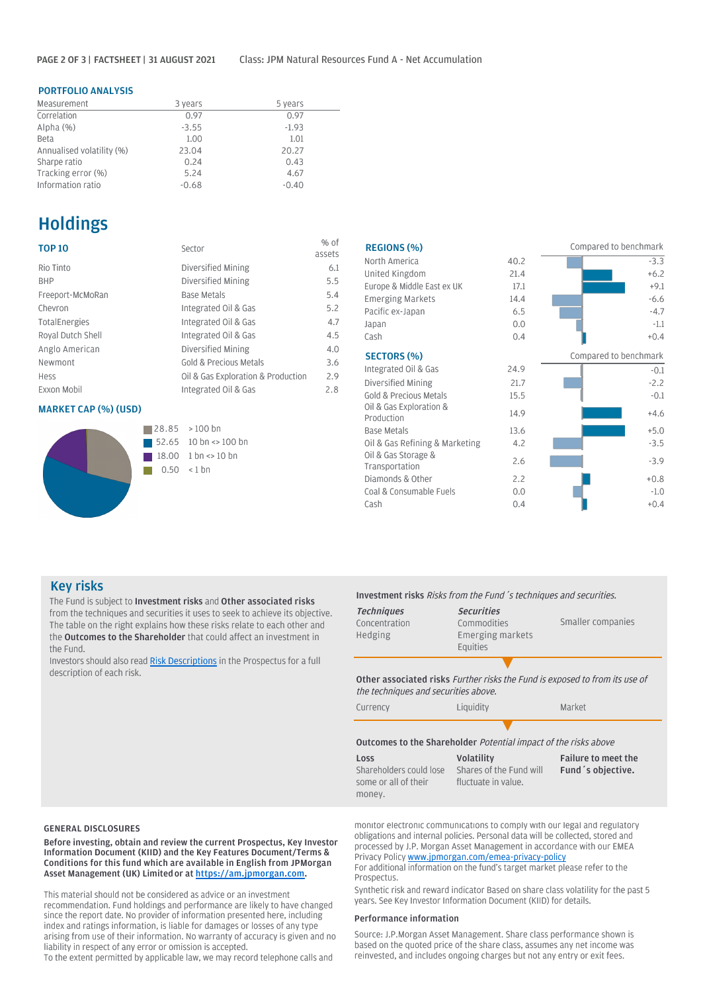### PORTFOLIO ANALYSIS

| Measurement               | 3 years | 5 years |
|---------------------------|---------|---------|
| Correlation               | 0.97    | 0.97    |
| Alpha $(%)$               | $-3.55$ | $-1.93$ |
| <b>Beta</b>               | 1.00    | 1.01    |
| Annualised volatility (%) | 23.04   | 20.27   |
| Sharpe ratio              | 0.24    | 0.43    |
| Tracking error (%)        | 5.24    | 4.67    |
| Information ratio         | $-0.68$ | $-0.40$ |

### **Holdings**

| <b>TOP 10</b>      | Sector                             | $%$ of<br>assets |
|--------------------|------------------------------------|------------------|
| Rio Tinto          | Diversified Mining                 | 6.1              |
| <b>BHP</b>         | Diversified Mining                 | 5.5              |
| Freeport-McMoRan   | <b>Base Metals</b>                 | 5.4              |
| Chevron            | Integrated Oil & Gas               | 5.2              |
| TotalEnergies      | Integrated Oil & Gas               | 4.7              |
| Royal Dutch Shell  | Integrated Oil & Gas               | 4.5              |
| Anglo American     | Diversified Mining                 | 4.0              |
| Newmont            | Gold & Precious Metals             | 3.6              |
| Hess               | Oil & Gas Exploration & Production | 2.9              |
| <b>Exxon Mobil</b> | Integrated Oil & Gas               | 2.8              |

### MARKET CAP (%) (USD)



| <b>REGIONS (%)</b>                    |      | Compared to benchmark |
|---------------------------------------|------|-----------------------|
| North America                         | 40.2 | $-3.3$                |
| United Kingdom                        | 21.4 | $+6.2$                |
| Europe & Middle East ex UK            | 17.1 | $+9.1$                |
| <b>Emerging Markets</b>               | 14.4 | $-6.6$                |
| Pacific ex-Japan                      | 6.5  | $-4.7$                |
| Japan                                 | 0.0  | $-1.1$                |
| Cash                                  | 0.4  | $+0.4$                |
| <b>SECTORS (%)</b>                    |      | Compared to benchmark |
| Integrated Oil & Gas                  | 24.9 | $-0.1$                |
| Diversified Mining                    | 21.7 | $-2.2$                |
| <b>Gold &amp; Precious Metals</b>     | 15.5 | $-0.1$                |
| Oil & Gas Exploration &<br>Production | 14.9 | $+4.6$                |
| <b>Base Metals</b>                    | 13.6 | $+5.0$                |
| Oil & Gas Refining & Marketing        | 4.2  | $-3.5$                |
| Oil & Gas Storage &<br>Transportation | 2.6  | $-3.9$                |
| Diamonds & Other                      | 2.2  | $+0.8$                |
| Coal & Consumable Fuels               | 0.0  | $-1.0$                |
| Cash                                  | 0.4  | $+0.4$                |
|                                       |      |                       |

### Key risks

The Fund is subject to Investment risks and Other associated risks from the techniques and securities it uses to seek to achieve its objective. The table on the right explains how these risks relate to each other and the Outcomes to the Shareholder that could affect an investment in the Fund.

Investors should also read [Risk Descriptions](https://am.jpmorgan.com/gb/en/asset-management/adv/products/fund-explorer/oeics) in the Prospectus for a full description of each risk.

### Investment risks Risks from the Fund´s techniques and securities.

| <b>Techniques</b><br>Concentration<br>Hedging | <b>Securities</b><br>Commodities<br>Emerging markets<br>Equities | Smaller companies |
|-----------------------------------------------|------------------------------------------------------------------|-------------------|
|                                               |                                                                  |                   |

Other associated risks Further risks the Fund is exposed to from its use of the techniques and securities above.

| Currency                                                          | Liquidity                                                              | Market                                           |
|-------------------------------------------------------------------|------------------------------------------------------------------------|--------------------------------------------------|
|                                                                   |                                                                        |                                                  |
|                                                                   | <b>Outcomes to the Shareholder Potential impact of the risks above</b> |                                                  |
| Loss<br>Shareholders could lose<br>some or all of their<br>money. | <b>Volatility</b><br>Shares of the Fund will<br>fluctuate in value.    | <b>Failure to meet the</b><br>Fund 's objective. |

Before investing, obtain and review the current Prospectus, Key Investor Information Document (KIID) and the Key Features Document/Terms & Conditions for this fund which are available in English from JPMorgan Asset Management (UK) Limited or at [https://am.jpmorgan.com.](https://am.jpmorgan.com/)

This material should not be considered as advice or an investment recommendation. Fund holdings and performance are likely to have changed since the report date. No provider of information presented here, including index and ratings information, is liable for damages or losses of any type arising from use of their information. No warranty of accuracy is given and no liability in respect of any error or omission is accepted.

To the extent permitted by applicable law, we may record telephone calls and

GENERAL DISCLOSURES **EXECUTES** monitor electronic communications to comply with our legal and regulatory obligations and internal policies. Personal data will be collected, stored and processed by J.P. Morgan Asset Management in accordance with our EMEA Privacy Policy [www.jpmorgan.com/emea-privacy-policy](https://www.jpmorgan.com/emea-privacy-policy)

For additional information on the fund's target market please refer to the Prospectus.

Synthetic risk and reward indicator Based on share class volatility for the past 5 years. See Key Investor Information Document (KIID) for details.

#### Performance information

Source: J.P.Morgan Asset Management. Share class performance shown is based on the quoted price of the share class, assumes any net income was reinvested, and includes ongoing charges but not any entry or exit fees.